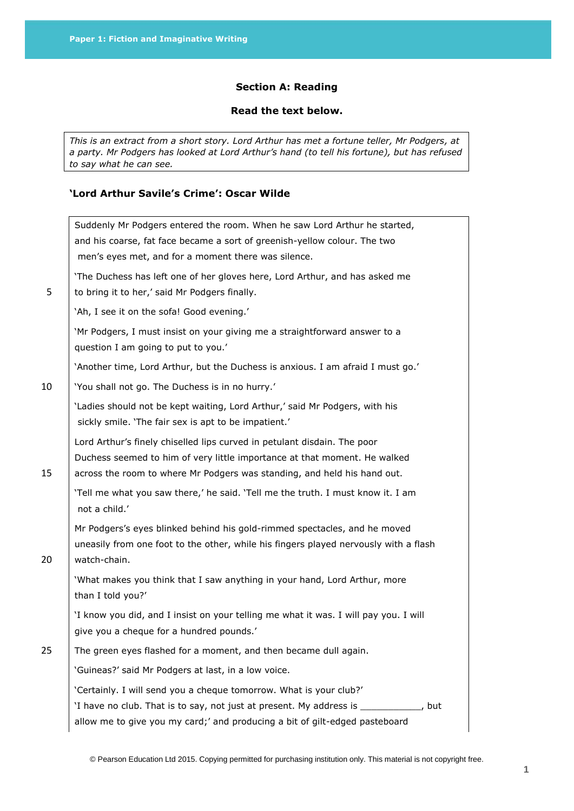## **Section A: Reading**

### **Read the text below.**

*This is an extract from a short story. Lord Arthur has met a fortune teller, Mr Podgers, at a party. Mr Podgers has looked at Lord Arthur's hand (to tell his fortune), but has refused to say what he can see.*

# **'Lord Arthur Savile's Crime': Oscar Wilde**

|    | Suddenly Mr Podgers entered the room. When he saw Lord Arthur he started,<br>and his coarse, fat face became a sort of greenish-yellow colour. The two<br>men's eyes met, and for a moment there was silence.                     |
|----|-----------------------------------------------------------------------------------------------------------------------------------------------------------------------------------------------------------------------------------|
| 5  | 'The Duchess has left one of her gloves here, Lord Arthur, and has asked me<br>to bring it to her,' said Mr Podgers finally.                                                                                                      |
|    | 'Ah, I see it on the sofa! Good evening.'                                                                                                                                                                                         |
|    | 'Mr Podgers, I must insist on your giving me a straightforward answer to a<br>question I am going to put to you.'                                                                                                                 |
|    | 'Another time, Lord Arthur, but the Duchess is anxious. I am afraid I must go.'                                                                                                                                                   |
| 10 | 'You shall not go. The Duchess is in no hurry.'                                                                                                                                                                                   |
|    | 'Ladies should not be kept waiting, Lord Arthur,' said Mr Podgers, with his<br>sickly smile. 'The fair sex is apt to be impatient.'                                                                                               |
| 15 | Lord Arthur's finely chiselled lips curved in petulant disdain. The poor<br>Duchess seemed to him of very little importance at that moment. He walked<br>across the room to where Mr Podgers was standing, and held his hand out. |
|    | 'Tell me what you saw there,' he said. 'Tell me the truth. I must know it. I am<br>not a child.'                                                                                                                                  |
| 20 | Mr Podgers's eyes blinked behind his gold-rimmed spectacles, and he moved<br>uneasily from one foot to the other, while his fingers played nervously with a flash<br>watch-chain.                                                 |
|    | 'What makes you think that I saw anything in your hand, Lord Arthur, more<br>than I told you?'                                                                                                                                    |
|    | 'I know you did, and I insist on your telling me what it was. I will pay you. I will<br>give you a cheque for a hundred pounds.'                                                                                                  |
| 25 | The green eyes flashed for a moment, and then became dull again.                                                                                                                                                                  |
|    | 'Guineas?' said Mr Podgers at last, in a low voice.                                                                                                                                                                               |
|    | 'Certainly. I will send you a cheque tomorrow. What is your club?'                                                                                                                                                                |
|    | 'I have no club. That is to say, not just at present. My address is ___________, but<br>allow me to give you my card;' and producing a bit of gilt-edged pasteboard                                                               |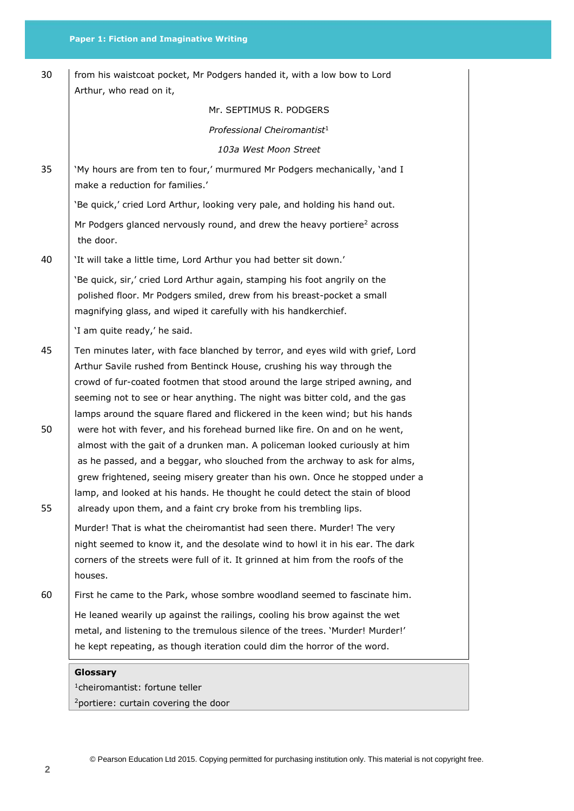|          | he kept repeating, as though iteration could dim the horror of the word.                                                                                                                                                                                                                                                                                                                                                                                                    |
|----------|-----------------------------------------------------------------------------------------------------------------------------------------------------------------------------------------------------------------------------------------------------------------------------------------------------------------------------------------------------------------------------------------------------------------------------------------------------------------------------|
|          | He leaned wearily up against the railings, cooling his brow against the wet<br>metal, and listening to the tremulous silence of the trees. 'Murder! Murder!'                                                                                                                                                                                                                                                                                                                |
| 60       | First he came to the Park, whose sombre woodland seemed to fascinate him.                                                                                                                                                                                                                                                                                                                                                                                                   |
|          | night seemed to know it, and the desolate wind to howl it in his ear. The dark<br>corners of the streets were full of it. It grinned at him from the roofs of the<br>houses.                                                                                                                                                                                                                                                                                                |
|          | Murder! That is what the cheiromantist had seen there. Murder! The very                                                                                                                                                                                                                                                                                                                                                                                                     |
| 50<br>55 | were hot with fever, and his forehead burned like fire. On and on he went,<br>almost with the gait of a drunken man. A policeman looked curiously at him<br>as he passed, and a beggar, who slouched from the archway to ask for alms,<br>grew frightened, seeing misery greater than his own. Once he stopped under a<br>lamp, and looked at his hands. He thought he could detect the stain of blood<br>already upon them, and a faint cry broke from his trembling lips. |
| 45       | Ten minutes later, with face blanched by terror, and eyes wild with grief, Lord<br>Arthur Savile rushed from Bentinck House, crushing his way through the<br>crowd of fur-coated footmen that stood around the large striped awning, and<br>seeming not to see or hear anything. The night was bitter cold, and the gas<br>lamps around the square flared and flickered in the keen wind; but his hands                                                                     |
|          | 'I am quite ready,' he said.                                                                                                                                                                                                                                                                                                                                                                                                                                                |
|          | 'Be quick, sir,' cried Lord Arthur again, stamping his foot angrily on the<br>polished floor. Mr Podgers smiled, drew from his breast-pocket a small<br>magnifying glass, and wiped it carefully with his handkerchief.                                                                                                                                                                                                                                                     |
| 40       | 'It will take a little time, Lord Arthur you had better sit down.'                                                                                                                                                                                                                                                                                                                                                                                                          |
|          | 'Be quick,' cried Lord Arthur, looking very pale, and holding his hand out.<br>Mr Podgers glanced nervously round, and drew the heavy portiere <sup>2</sup> across<br>the door.                                                                                                                                                                                                                                                                                             |
| 35       | 'My hours are from ten to four,' murmured Mr Podgers mechanically, 'and I<br>make a reduction for families.'                                                                                                                                                                                                                                                                                                                                                                |
|          | 103a West Moon Street                                                                                                                                                                                                                                                                                                                                                                                                                                                       |
|          | Professional Cheiromantist <sup>1</sup>                                                                                                                                                                                                                                                                                                                                                                                                                                     |
|          | Arthur, who read on it,<br>Mr. SEPTIMUS R. PODGERS                                                                                                                                                                                                                                                                                                                                                                                                                          |
| 30       | from his waistcoat pocket, Mr Podgers handed it, with a low bow to Lord                                                                                                                                                                                                                                                                                                                                                                                                     |